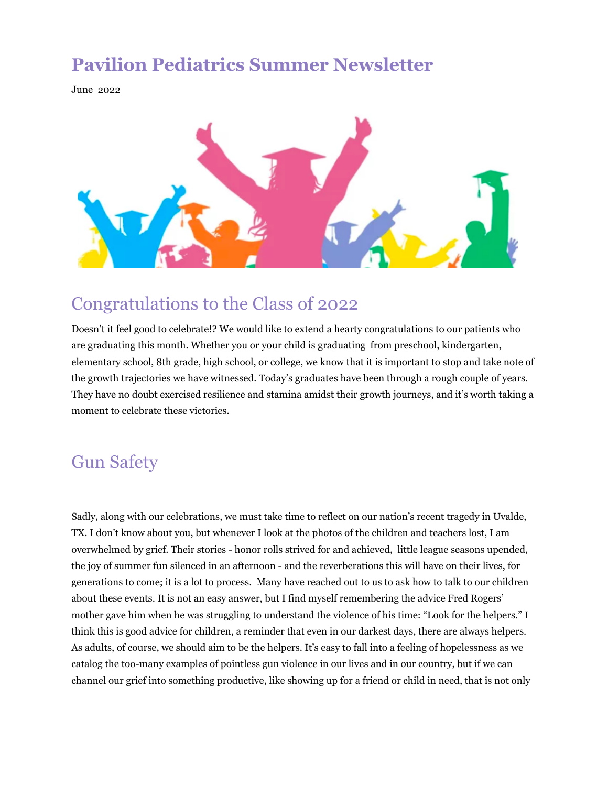### **Pavilion Pediatrics Summer Newsletter**

June 2022



## Congratulations to the Class of 2022

Doesn't it feel good to celebrate!? We would like to extend a hearty congratulations to our patients who are graduating this month. Whether you or your child is graduating from preschool, kindergarten, elementary school, 8th grade, high school, or college, we know that it is important to stop and take note of the growth trajectories we have witnessed. Today's graduates have been through a rough couple of years. They have no doubt exercised resilience and stamina amidst their growth journeys, and it's worth taking a moment to celebrate these victories.

## Gun Safety

Sadly, along with our celebrations, we must take time to reflect on our nation's recent tragedy in Uvalde, TX. I don't know about you, but whenever I look at the photos of the children and teachers lost, I am overwhelmed by grief. Their stories - honor rolls strived for and achieved, little league seasons upended, the joy of summer fun silenced in an afternoon - and the reverberations this will have on their lives, for generations to come; it is a lot to process. Many have reached out to us to ask how to talk to our children about these events. It is not an easy answer, but I find myself remembering the advice Fred Rogers' mother gave him when he was struggling to understand the violence of his time: "Look for the helpers." I think this is good advice for children, a reminder that even in our darkest days, there are always helpers. As adults, of course, we should aim to be the helpers. It's easy to fall into a feeling of hopelessness as we catalog the too-many examples of pointless gun violence in our lives and in our country, but if we can channel our grief into something productive, like showing up for a friend or child in need, that is not only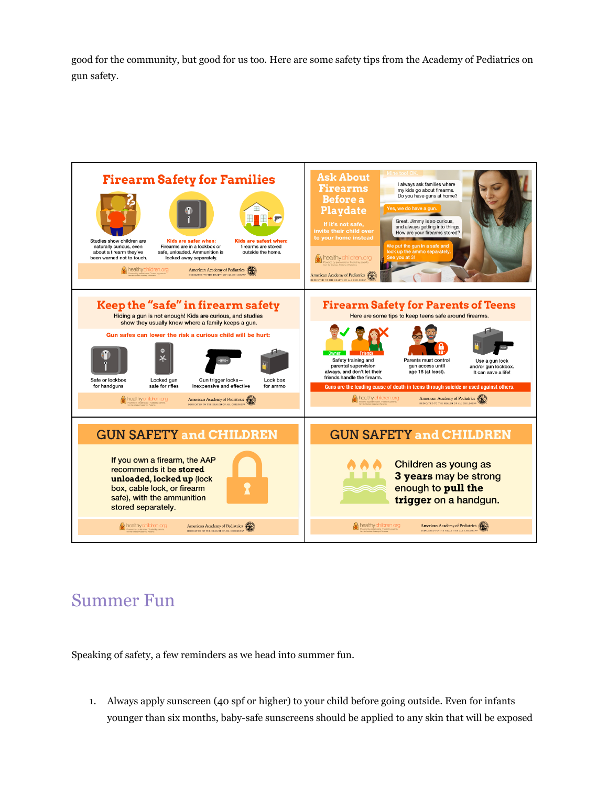good for the community, but good for us too. Here are some safety tips from the Academy of Pediatrics on gun safety.



# Summer Fun

Speaking of safety, a few reminders as we head into summer fun.

1. Always apply sunscreen (40 spf or higher) to your child before going outside. Even for infants younger than six months, baby-safe sunscreens should be applied to any skin that will be exposed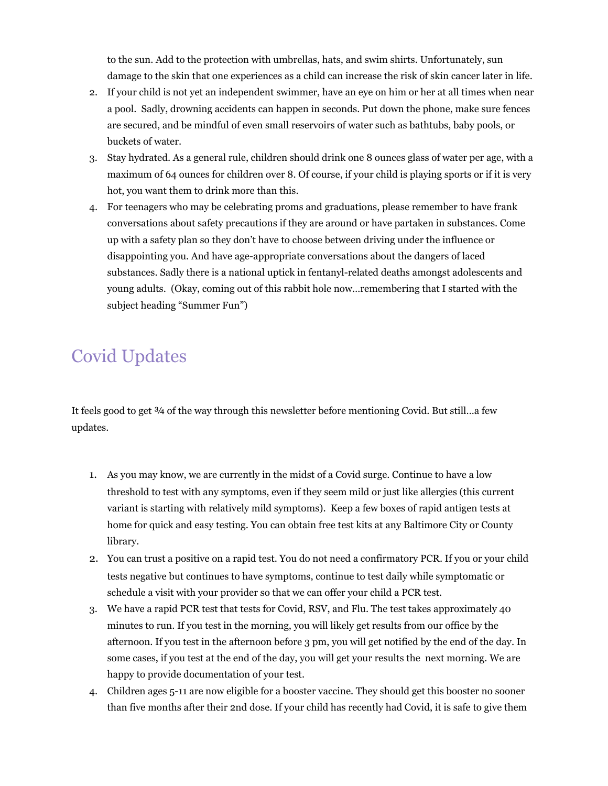to the sun. Add to the protection with umbrellas, hats, and swim shirts. Unfortunately, sun damage to the skin that one experiences as a child can increase the risk of skin cancer later in life.

- 2. If your child is not yet an independent swimmer, have an eye on him or her at all times when near a pool. Sadly, drowning accidents can happen in seconds. Put down the phone, make sure fences are secured, and be mindful of even small reservoirs of water such as bathtubs, baby pools, or buckets of water.
- 3. Stay hydrated. As a general rule, children should drink one 8 ounces glass of water per age, with a maximum of 64 ounces for children over 8. Of course, if your child is playing sports or if it is very hot, you want them to drink more than this.
- 4. For teenagers who may be celebrating proms and graduations, please remember to have frank conversations about safety precautions if they are around or have partaken in substances. Come up with a safety plan so they don't have to choose between driving under the influence or disappointing you. And have age-appropriate conversations about the dangers of laced substances. Sadly there is a national uptick in fentanyl-related deaths amongst adolescents and young adults. (Okay, coming out of this rabbit hole now…remembering that I started with the subject heading "Summer Fun")

# Covid Updates

It feels good to get  $\frac{3}{4}$  of the way through this newsletter before mentioning Covid. But still...a few updates.

- 1. As you may know, we are currently in the midst of a Covid surge. Continue to have a low threshold to test with any symptoms, even if they seem mild or just like allergies (this current variant is starting with relatively mild symptoms). Keep a few boxes of rapid antigen tests at home for quick and easy testing. You can obtain free test kits at any Baltimore City or County library.
- 2. You can trust a positive on a rapid test. You do not need a confirmatory PCR. If you or your child tests negative but continues to have symptoms, continue to test daily while symptomatic or schedule a visit with your provider so that we can offer your child a PCR test.
- 3. We have a rapid PCR test that tests for Covid, RSV, and Flu. The test takes approximately 40 minutes to run. If you test in the morning, you will likely get results from our office by the afternoon. If you test in the afternoon before 3 pm, you will get notified by the end of the day. In some cases, if you test at the end of the day, you will get your results the next morning. We are happy to provide documentation of your test.
- 4. Children ages 5-11 are now eligible for a booster vaccine. They should get this booster no sooner than five months after their 2nd dose. If your child has recently had Covid, it is safe to give them